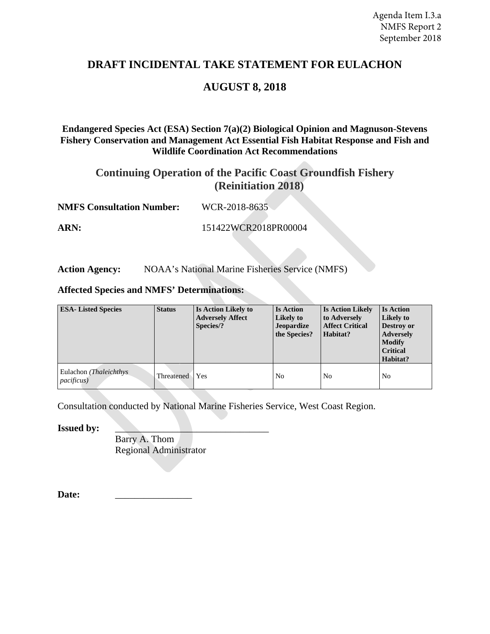# **DRAFT INCIDENTAL TAKE STATEMENT FOR EULACHON**

# **AUGUST 8, 2018**

#### **Endangered Species Act (ESA) Section 7(a)(2) Biological Opinion and Magnuson-Stevens Fishery Conservation and Management Act Essential Fish Habitat Response and Fish and Wildlife Coordination Act Recommendations**

# **Continuing Operation of the Pacific Coast Groundfish Fishery (Reinitiation 2018)**

**NMFS Consultation Number:** WCR-2018-8635

**ARN:** 151422WCR2018PR00004

Action Agency: NOAA's National Marine Fisheries Service (NMFS)

#### **Affected Species and NMFS' Determinations:**

| <b>ESA-Listed Species</b>                            | <b>Status</b>     | Is Action Likely to<br><b>Adversely Affect</b><br>Species/? | <b>Is Action</b><br>Likely to<br>Jeopardize<br>the Species? | <b>Is Action Likely</b><br>to Adversely<br><b>Affect Critical</b><br>Habitat? | <b>Is Action</b><br>Likely to<br>Destroy or<br><b>Adversely</b><br><b>Modify</b><br><b>Critical</b><br>Habitat? |
|------------------------------------------------------|-------------------|-------------------------------------------------------------|-------------------------------------------------------------|-------------------------------------------------------------------------------|-----------------------------------------------------------------------------------------------------------------|
| Eulachon ( <i>Thaleichthys</i><br><i>pacificus</i> ) | <b>Threatened</b> | Yes                                                         | <b>No</b>                                                   | N <sub>o</sub>                                                                | No                                                                                                              |

Consultation conducted by National Marine Fisheries Service, West Coast Region.

**Issued by:** 

Barry A. Thom Regional Administrator

Date: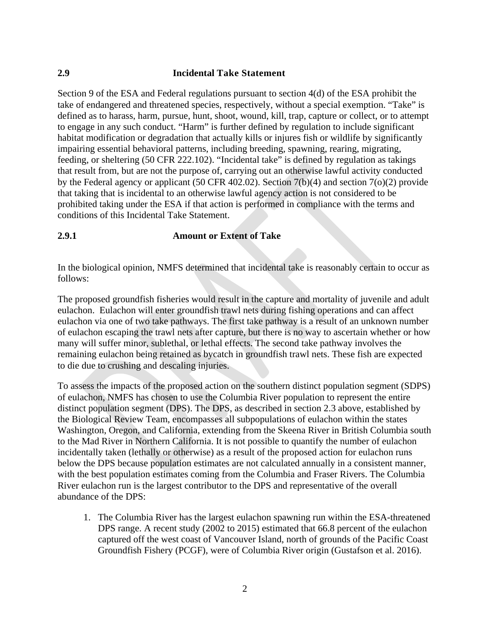### **2.9 Incidental Take Statement**

Section 9 of the ESA and Federal regulations pursuant to section 4(d) of the ESA prohibit the take of endangered and threatened species, respectively, without a special exemption. "Take" is defined as to harass, harm, pursue, hunt, shoot, wound, kill, trap, capture or collect, or to attempt to engage in any such conduct. "Harm" is further defined by regulation to include significant habitat modification or degradation that actually kills or injures fish or wildlife by significantly impairing essential behavioral patterns, including breeding, spawning, rearing, migrating, feeding, or sheltering (50 CFR 222.102). "Incidental take" is defined by regulation as takings that result from, but are not the purpose of, carrying out an otherwise lawful activity conducted by the Federal agency or applicant (50 CFR 402.02). Section 7(b)(4) and section 7(o)(2) provide that taking that is incidental to an otherwise lawful agency action is not considered to be prohibited taking under the ESA if that action is performed in compliance with the terms and conditions of this Incidental Take Statement.

### **2.9.1 Amount or Extent of Take**

In the biological opinion, NMFS determined that incidental take is reasonably certain to occur as follows:

The proposed groundfish fisheries would result in the capture and mortality of juvenile and adult eulachon. Eulachon will enter groundfish trawl nets during fishing operations and can affect eulachon via one of two take pathways. The first take pathway is a result of an unknown number of eulachon escaping the trawl nets after capture, but there is no way to ascertain whether or how many will suffer minor, sublethal, or lethal effects. The second take pathway involves the remaining eulachon being retained as bycatch in groundfish trawl nets. These fish are expected to die due to crushing and descaling injuries.

To assess the impacts of the proposed action on the southern distinct population segment (SDPS) of eulachon, NMFS has chosen to use the Columbia River population to represent the entire distinct population segment (DPS). The DPS, as described in section 2.3 above, established by the Biological Review Team, encompasses all subpopulations of eulachon within the states Washington, Oregon, and California, extending from the Skeena River in British Columbia south to the Mad River in Northern California. It is not possible to quantify the number of eulachon incidentally taken (lethally or otherwise) as a result of the proposed action for eulachon runs below the DPS because population estimates are not calculated annually in a consistent manner, with the best population estimates coming from the Columbia and Fraser Rivers. The Columbia River eulachon run is the largest contributor to the DPS and representative of the overall abundance of the DPS:

1. The Columbia River has the largest eulachon spawning run within the ESA-threatened DPS range. A recent study (2002 to 2015) estimated that 66.8 percent of the eulachon captured off the west coast of Vancouver Island, north of grounds of the Pacific Coast Groundfish Fishery (PCGF), were of Columbia River origin (Gustafson et al. 2016).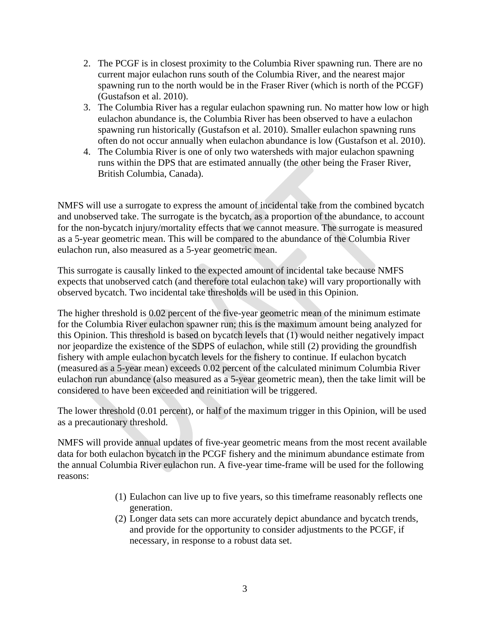- 2. The PCGF is in closest proximity to the Columbia River spawning run. There are no current major eulachon runs south of the Columbia River, and the nearest major spawning run to the north would be in the Fraser River (which is north of the PCGF) (Gustafson et al. 2010).
- 3. The Columbia River has a regular eulachon spawning run. No matter how low or high eulachon abundance is, the Columbia River has been observed to have a eulachon spawning run historically (Gustafson et al. 2010). Smaller eulachon spawning runs often do not occur annually when eulachon abundance is low (Gustafson et al. 2010).
- 4. The Columbia River is one of only two watersheds with major eulachon spawning runs within the DPS that are estimated annually (the other being the Fraser River, British Columbia, Canada).

NMFS will use a surrogate to express the amount of incidental take from the combined bycatch and unobserved take. The surrogate is the bycatch, as a proportion of the abundance, to account for the non-bycatch injury/mortality effects that we cannot measure. The surrogate is measured as a 5-year geometric mean. This will be compared to the abundance of the Columbia River eulachon run, also measured as a 5-year geometric mean.

This surrogate is causally linked to the expected amount of incidental take because NMFS expects that unobserved catch (and therefore total eulachon take) will vary proportionally with observed bycatch. Two incidental take thresholds will be used in this Opinion.

The higher threshold is 0.02 percent of the five-year geometric mean of the minimum estimate for the Columbia River eulachon spawner run; this is the maximum amount being analyzed for this Opinion. This threshold is based on bycatch levels that (1) would neither negatively impact nor jeopardize the existence of the SDPS of eulachon, while still (2) providing the groundfish fishery with ample eulachon bycatch levels for the fishery to continue. If eulachon bycatch (measured as a 5-year mean) exceeds 0.02 percent of the calculated minimum Columbia River eulachon run abundance (also measured as a 5-year geometric mean), then the take limit will be considered to have been exceeded and reinitiation will be triggered.

The lower threshold (0.01 percent), or half of the maximum trigger in this Opinion, will be used as a precautionary threshold.

NMFS will provide annual updates of five-year geometric means from the most recent available data for both eulachon bycatch in the PCGF fishery and the minimum abundance estimate from the annual Columbia River eulachon run. A five-year time-frame will be used for the following reasons:

- (1) Eulachon can live up to five years, so this timeframe reasonably reflects one generation.
- (2) Longer data sets can more accurately depict abundance and bycatch trends, and provide for the opportunity to consider adjustments to the PCGF, if necessary, in response to a robust data set.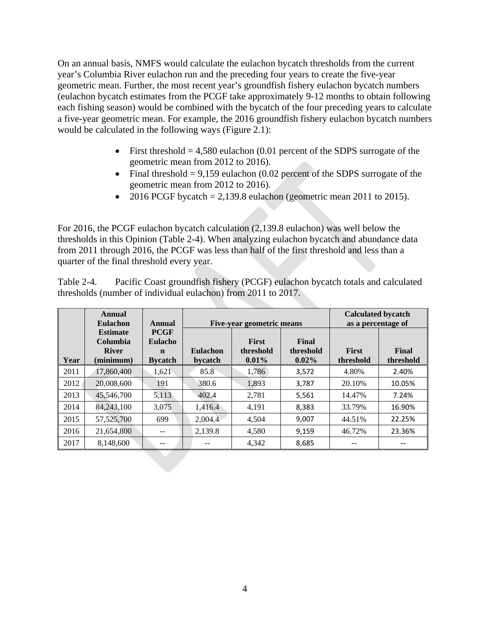On an annual basis, NMFS would calculate the eulachon bycatch thresholds from the current year's Columbia River eulachon run and the preceding four years to create the five-year geometric mean. Further, the most recent year's groundfish fishery eulachon bycatch numbers (eulachon bycatch estimates from the PCGF take approximately 9-12 months to obtain following each fishing season) would be combined with the bycatch of the four preceding years to calculate a five-year geometric mean. For example, the 2016 groundfish fishery eulachon bycatch numbers would be calculated in the following ways (Figure 2.1):

- First threshold  $= 4,580$  eulachon (0.01 percent of the SDPS surrogate of the geometric mean from 2012 to 2016).
- Final threshold  $= 9,159$  eulachon (0.02 percent of the SDPS surrogate of the geometric mean from 2012 to 2016).
- 2016 PCGF bycatch = 2,139.8 eulachon (geometric mean 2011 to 2015).

For 2016, the PCGF eulachon bycatch calculation (2,139.8 eulachon) was well below the thresholds in this Opinion (Table 2-4). When analyzing eulachon bycatch and abundance data from 2011 through 2016, the PCGF was less than half of the first threshold and less than a quarter of the final threshold every year.

Table 2-4. Pacific Coast groundfish fishery (PCGF) eulachon bycatch totals and calculated thresholds (number of individual eulachon) from 2011 to 2017.

|                                                                  | Annual<br><b>Eulachon</b>                                      | Annual                     | Five-year geometric means             |                                |                           | <b>Calculated bycatch</b><br>as a percentage of |        |
|------------------------------------------------------------------|----------------------------------------------------------------|----------------------------|---------------------------------------|--------------------------------|---------------------------|-------------------------------------------------|--------|
| <b>Estimate</b><br>Columbia<br><b>River</b><br>Year<br>(minimum) | <b>PCGF</b><br><b>Eulacho</b><br>$\mathbf n$<br><b>Bycatch</b> | <b>Eulachon</b><br>bycatch | <b>First</b><br>threshold<br>$0.01\%$ | Final<br>threshold<br>$0.02\%$ | <b>First</b><br>threshold | Final<br>threshold                              |        |
| 2011                                                             | 17,860,400                                                     | 1,621                      | 85.8                                  | 1.786                          | 3,572                     | 4.80%                                           | 2.40%  |
| 2012                                                             | 20,008,600                                                     | 191                        | 380.6                                 | 1.893                          | 3.787                     | 20.10%                                          | 10.05% |
| 2013                                                             | 45,546,700                                                     | 5,113                      | 402.4                                 | 2,781                          | 5,561                     | 14.47%                                          | 7.24%  |
| 2014                                                             | 84,243,100                                                     | 3.075                      | 1,416.4                               | 4.191                          | 8,383                     | 33.79%                                          | 16.90% |
| 2015                                                             | 57, 525, 700                                                   | 699                        | $2.004.\overline{4}$                  | 4.504                          | 9,007                     | 44.51%                                          | 22.25% |
| 2016                                                             | 21,654,800                                                     | --                         | 2,139.8                               | 4,580                          | 9,159                     | 46.72%                                          | 23.36% |
| 2017                                                             | 8,148,600                                                      | --                         | --                                    | 4,342                          | 8,685                     |                                                 |        |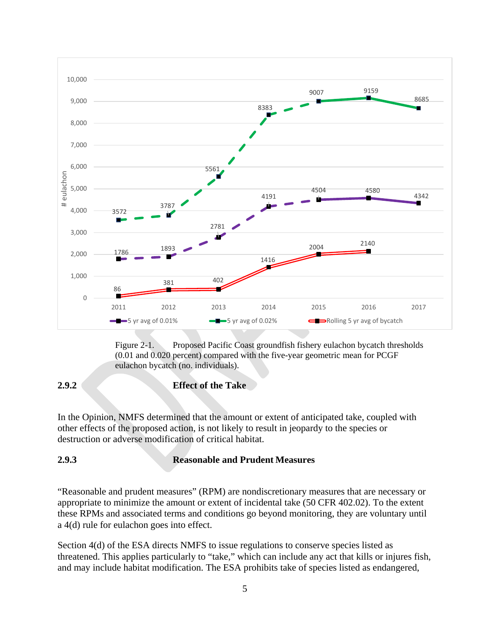

Figure 2-1. Proposed Pacific Coast groundfish fishery eulachon bycatch thresholds (0.01 and 0.020 percent) compared with the five-year geometric mean for PCGF eulachon bycatch (no. individuals).

# **2.9.2 Effect of the Take**

In the Opinion, NMFS determined that the amount or extent of anticipated take, coupled with other effects of the proposed action, is not likely to result in jeopardy to the species or destruction or adverse modification of critical habitat.

## **2.9.3 Reasonable and Prudent Measures**

"Reasonable and prudent measures" (RPM) are nondiscretionary measures that are necessary or appropriate to minimize the amount or extent of incidental take (50 CFR 402.02). To the extent these RPMs and associated terms and conditions go beyond monitoring, they are voluntary until a 4(d) rule for eulachon goes into effect.

Section 4(d) of the ESA directs NMFS to issue regulations to conserve species listed as threatened. This applies particularly to "take," which can include any act that kills or injures fish, and may include habitat modification. The ESA prohibits take of species listed as endangered,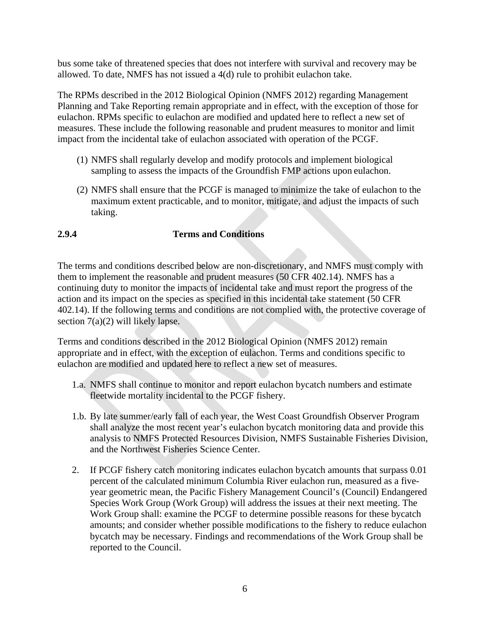bus some take of threatened species that does not interfere with survival and recovery may be allowed. To date, NMFS has not issued a 4(d) rule to prohibit eulachon take.

The RPMs described in the 2012 Biological Opinion (NMFS 2012) regarding Management Planning and Take Reporting remain appropriate and in effect, with the exception of those for eulachon. RPMs specific to eulachon are modified and updated here to reflect a new set of measures. These include the following reasonable and prudent measures to monitor and limit impact from the incidental take of eulachon associated with operation of the PCGF.

- (1) NMFS shall regularly develop and modify protocols and implement biological sampling to assess the impacts of the Groundfish FMP actions upon eulachon.
- (2) NMFS shall ensure that the PCGF is managed to minimize the take of eulachon to the maximum extent practicable, and to monitor, mitigate, and adjust the impacts of such taking.

## **2.9.4 Terms and Conditions**

The terms and conditions described below are non-discretionary, and NMFS must comply with them to implement the reasonable and prudent measures (50 CFR 402.14). NMFS has a continuing duty to monitor the impacts of incidental take and must report the progress of the action and its impact on the species as specified in this incidental take statement (50 CFR 402.14). If the following terms and conditions are not complied with, the protective coverage of section 7(a)(2) will likely lapse.

Terms and conditions described in the 2012 Biological Opinion (NMFS 2012) remain appropriate and in effect, with the exception of eulachon. Terms and conditions specific to eulachon are modified and updated here to reflect a new set of measures.

- 1.a. NMFS shall continue to monitor and report eulachon bycatch numbers and estimate fleetwide mortality incidental to the PCGF fishery.
- 1.b. By late summer/early fall of each year, the West Coast Groundfish Observer Program shall analyze the most recent year's eulachon bycatch monitoring data and provide this analysis to NMFS Protected Resources Division, NMFS Sustainable Fisheries Division, and the Northwest Fisheries Science Center.
- 2. If PCGF fishery catch monitoring indicates eulachon bycatch amounts that surpass 0.01 percent of the calculated minimum Columbia River eulachon run, measured as a fiveyear geometric mean, the Pacific Fishery Management Council's (Council) Endangered Species Work Group (Work Group) will address the issues at their next meeting. The Work Group shall: examine the PCGF to determine possible reasons for these bycatch amounts; and consider whether possible modifications to the fishery to reduce eulachon bycatch may be necessary. Findings and recommendations of the Work Group shall be reported to the Council.